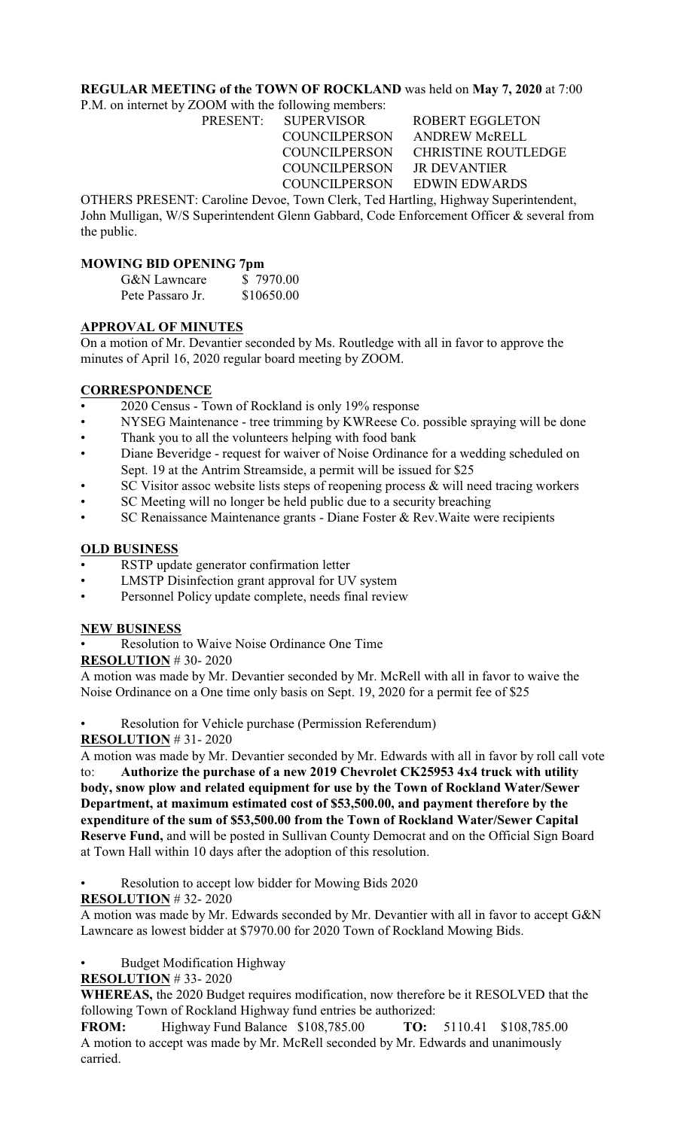# **REGULAR MEETING of the TOWN OF ROCKLAND** was held on **May 7, 2020** at 7:00

P.M. on internet by ZOOM with the following members:

COUNCILPERSON JR DEVANTIER

PRESENT: SUPERVISOR ROBERT EGGLETON COUNCILPERSON ANDREW McRELL COUNCILPERSON CHRISTINE ROUTLEDGE COUNCILPERSON EDWIN EDWARDS

OTHERS PRESENT: Caroline Devoe, Town Clerk, Ted Hartling, Highway Superintendent, John Mulligan, W/S Superintendent Glenn Gabbard, Code Enforcement Officer & several from the public.

### **MOWING BID OPENING 7pm**

| <b>G&amp;N</b> Lawncare | \$7970.00  |
|-------------------------|------------|
| Pete Passaro Jr.        | \$10650.00 |

# **APPROVAL OF MINUTES**

On a motion of Mr. Devantier seconded by Ms. Routledge with all in favor to approve the minutes of April 16, 2020 regular board meeting by ZOOM.

# **CORRESPONDENCE**

- 2020 Census Town of Rockland is only 19% response
- NYSEG Maintenance tree trimming by KWReese Co. possible spraying will be done
- Thank you to all the volunteers helping with food bank
- Diane Beveridge request for waiver of Noise Ordinance for a wedding scheduled on Sept. 19 at the Antrim Streamside, a permit will be issued for \$25
- SC Visitor assoc website lists steps of reopening process  $\&$  will need tracing workers
- SC Meeting will no longer be held public due to a security breaching
- SC Renaissance Maintenance grants Diane Foster & Rev. Waite were recipients

# **OLD BUSINESS**

- RSTP update generator confirmation letter
- LMSTP Disinfection grant approval for UV system
- Personnel Policy update complete, needs final review

### **NEW BUSINESS**

• Resolution to Waive Noise Ordinance One Time

**RESOLUTION** # 30- 2020

A motion was made by Mr. Devantier seconded by Mr. McRell with all in favor to waive the Noise Ordinance on a One time only basis on Sept. 19, 2020 for a permit fee of \$25

Resolution for Vehicle purchase (Permission Referendum)

**RESOLUTION** # 31- 2020

A motion was made by Mr. Devantier seconded by Mr. Edwards with all in favor by roll call vote to: **Authorize the purchase of a new 2019 Chevrolet CK25953 4x4 truck with utility body, snow plow and related equipment for use by the Town of Rockland Water/Sewer Department, at maximum estimated cost of \$53,500.00, and payment therefore by the expenditure of the sum of \$53,500.00 from the Town of Rockland Water/Sewer Capital Reserve Fund,** and will be posted in Sullivan County Democrat and on the Official Sign Board at Town Hall within 10 days after the adoption of this resolution.

• Resolution to accept low bidder for Mowing Bids 2020

# **RESOLUTION** # 32- 2020

A motion was made by Mr. Edwards seconded by Mr. Devantier with all in favor to accept G&N Lawncare as lowest bidder at \$7970.00 for 2020 Town of Rockland Mowing Bids.

• Budget Modification Highway

**RESOLUTION** # 33- 2020

**WHEREAS,** the 2020 Budget requires modification, now therefore be it RESOLVED that the following Town of Rockland Highway fund entries be authorized:

**FROM:** Highway Fund Balance \$108,785.00 **TO:** 5110.41 \$108,785.00 A motion to accept was made by Mr. McRell seconded by Mr. Edwards and unanimously carried.